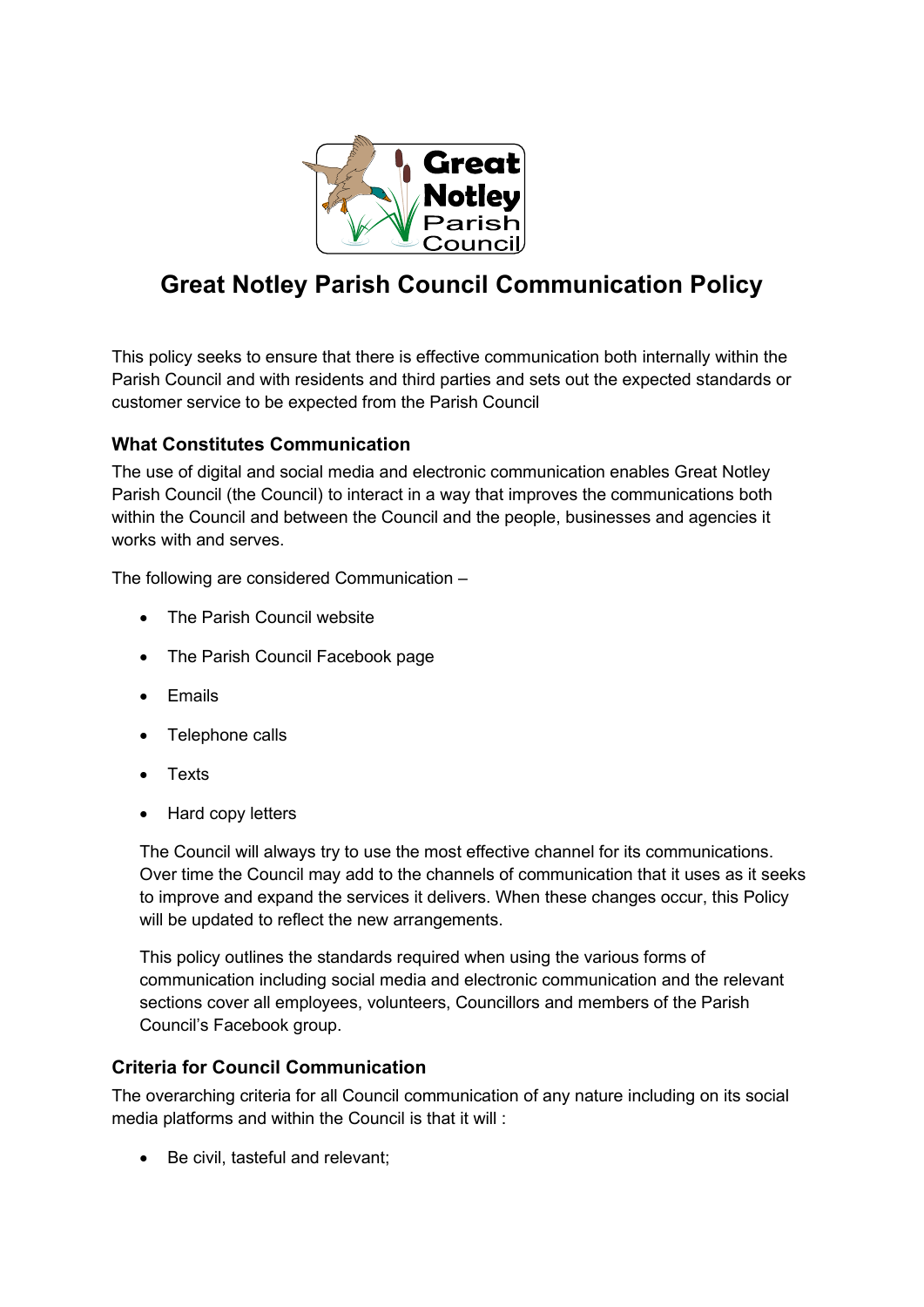

# **Great Notley Parish Council Communication Policy**

This policy seeks to ensure that there is effective communication both internally within the Parish Council and with residents and third parties and sets out the expected standards or customer service to be expected from the Parish Council

## **What Constitutes Communication**

The use of digital and social media and electronic communication enables Great Notley Parish Council (the Council) to interact in a way that improves the communications both within the Council and between the Council and the people, businesses and agencies it works with and serves.

The following are considered Communication –

- The Parish Council website
- The Parish Council Facebook page
- Emails
- Telephone calls
- Texts
- Hard copy letters

The Council will always try to use the most effective channel for its communications. Over time the Council may add to the channels of communication that it uses as it seeks to improve and expand the services it delivers. When these changes occur, this Policy will be updated to reflect the new arrangements.

This policy outlines the standards required when using the various forms of communication including social media and electronic communication and the relevant sections cover all employees, volunteers, Councillors and members of the Parish Council's Facebook group.

## **Criteria for Council Communication**

The overarching criteria for all Council communication of any nature including on its social media platforms and within the Council is that it will :

• Be civil, tasteful and relevant;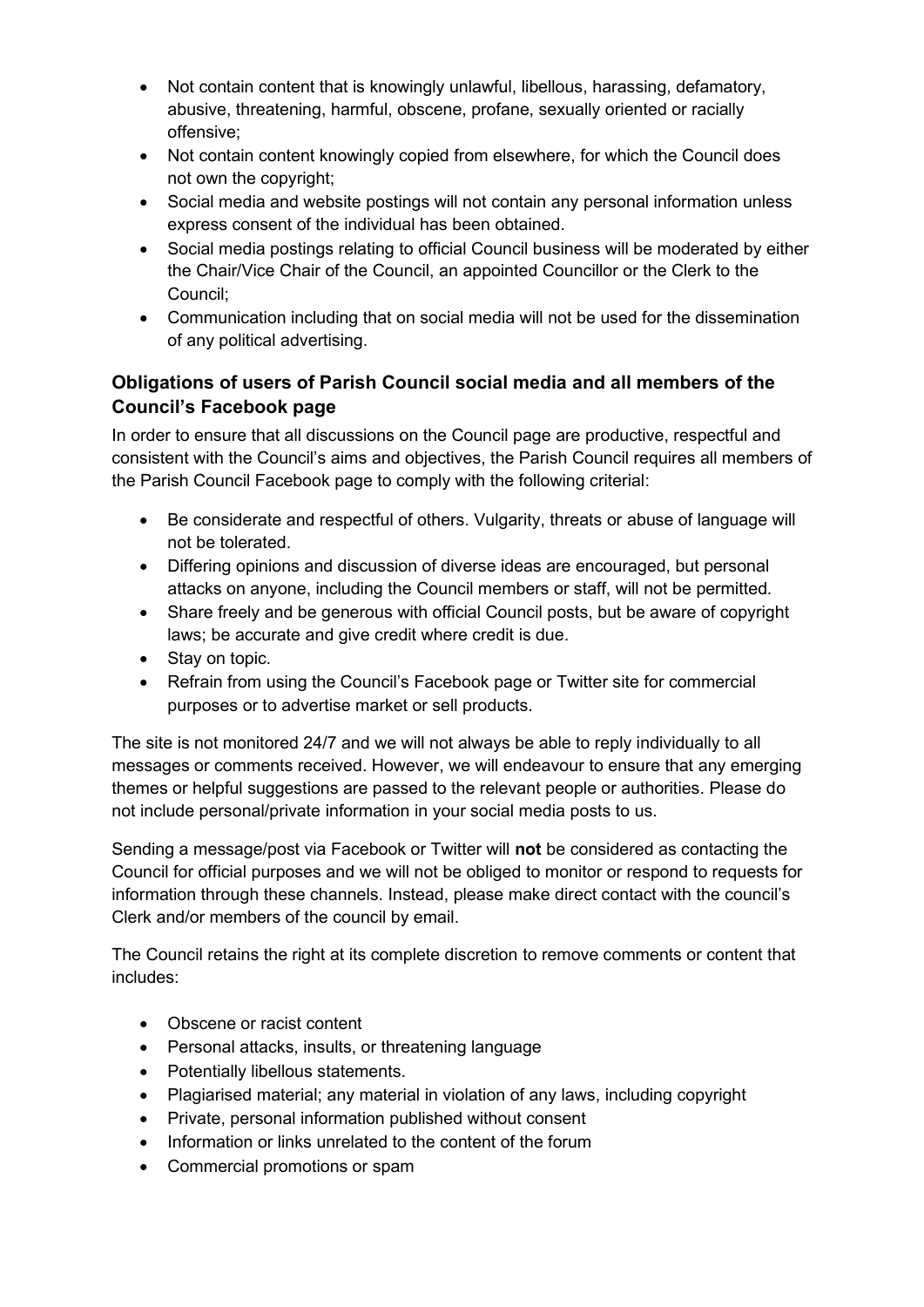- Not contain content that is knowingly unlawful, libellous, harassing, defamatory, abusive, threatening, harmful, obscene, profane, sexually oriented or racially offensive;
- Not contain content knowingly copied from elsewhere, for which the Council does not own the copyright;
- Social media and website postings will not contain any personal information unless express consent of the individual has been obtained.
- Social media postings relating to official Council business will be moderated by either the Chair/Vice Chair of the Council, an appointed Councillor or the Clerk to the Council;
- Communication including that on social media will not be used for the dissemination of any political advertising.

# **Obligations of users of Parish Council social media and all members of the Council's Facebook page**

In order to ensure that all discussions on the Council page are productive, respectful and consistent with the Council's aims and objectives, the Parish Council requires all members of the Parish Council Facebook page to comply with the following criterial:

- Be considerate and respectful of others. Vulgarity, threats or abuse of language will not be tolerated.
- Differing opinions and discussion of diverse ideas are encouraged, but personal attacks on anyone, including the Council members or staff, will not be permitted.
- Share freely and be generous with official Council posts, but be aware of copyright laws; be accurate and give credit where credit is due.
- Stay on topic.
- Refrain from using the Council's Facebook page or Twitter site for commercial purposes or to advertise market or sell products.

The site is not monitored 24/7 and we will not always be able to reply individually to all messages or comments received. However, we will endeavour to ensure that any emerging themes or helpful suggestions are passed to the relevant people or authorities. Please do not include personal/private information in your social media posts to us.

Sending a message/post via Facebook or Twitter will **not** be considered as contacting the Council for official purposes and we will not be obliged to monitor or respond to requests for information through these channels. Instead, please make direct contact with the council's Clerk and/or members of the council by email.

The Council retains the right at its complete discretion to remove comments or content that includes:

- Obscene or racist content
- Personal attacks, insults, or threatening language
- Potentially libellous statements.
- Plagiarised material; any material in violation of any laws, including copyright
- Private, personal information published without consent
- Information or links unrelated to the content of the forum
- Commercial promotions or spam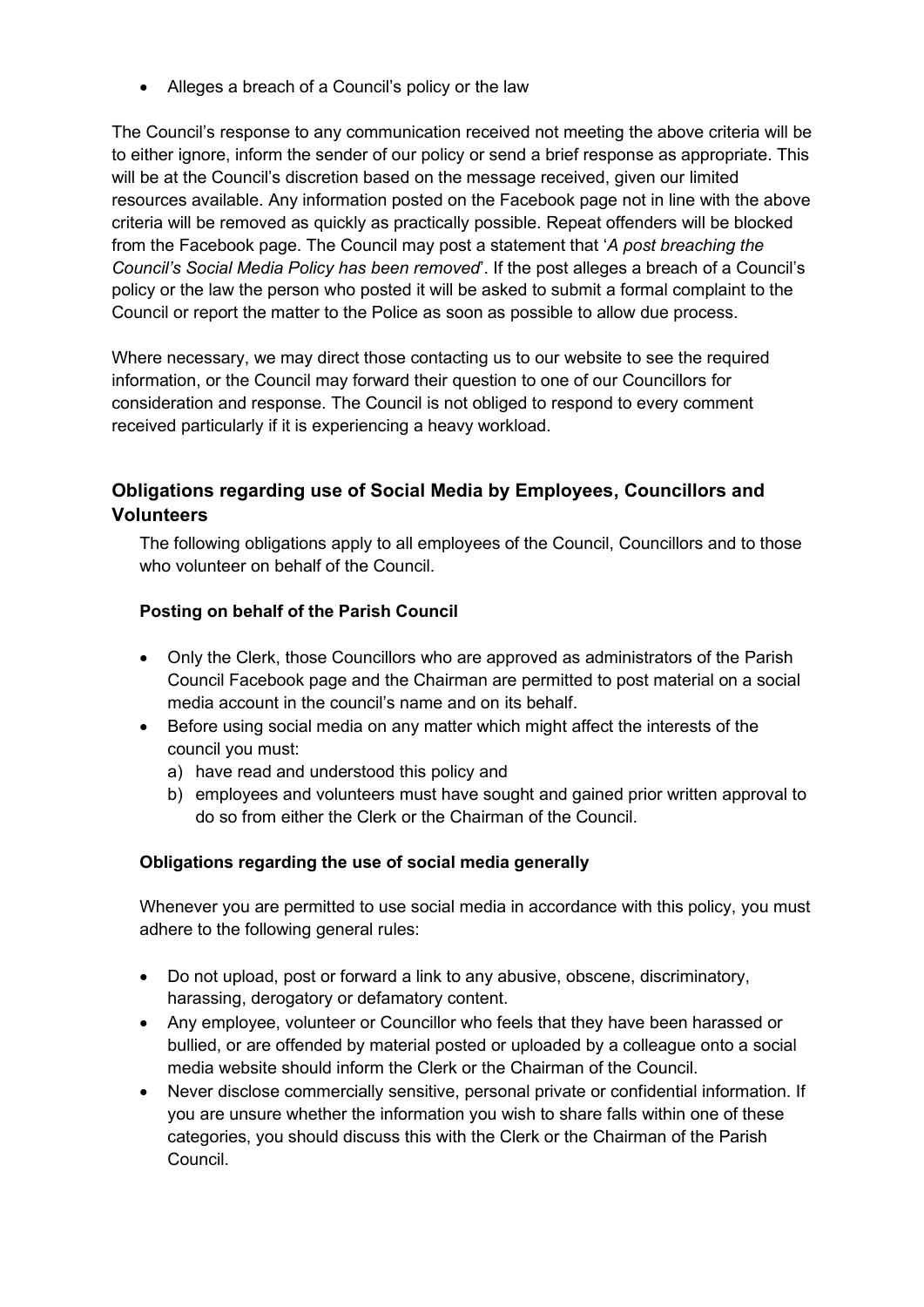• Alleges a breach of a Council's policy or the law

The Council's response to any communication received not meeting the above criteria will be to either ignore, inform the sender of our policy or send a brief response as appropriate. This will be at the Council's discretion based on the message received, given our limited resources available. Any information posted on the Facebook page not in line with the above criteria will be removed as quickly as practically possible. Repeat offenders will be blocked from the Facebook page. The Council may post a statement that '*A post breaching the Council's Social Media Policy has been removed*'. If the post alleges a breach of a Council's policy or the law the person who posted it will be asked to submit a formal complaint to the Council or report the matter to the Police as soon as possible to allow due process.

Where necessary, we may direct those contacting us to our website to see the required information, or the Council may forward their question to one of our Councillors for consideration and response. The Council is not obliged to respond to every comment received particularly if it is experiencing a heavy workload.

## **Obligations regarding use of Social Media by Employees, Councillors and Volunteers**

The following obligations apply to all employees of the Council, Councillors and to those who volunteer on behalf of the Council.

#### **Posting on behalf of the Parish Council**

- Only the Clerk, those Councillors who are approved as administrators of the Parish Council Facebook page and the Chairman are permitted to post material on a social media account in the council's name and on its behalf.
- Before using social media on any matter which might affect the interests of the council you must:
	- a) have read and understood this policy and
	- b) employees and volunteers must have sought and gained prior written approval to do so from either the Clerk or the Chairman of the Council.

#### **Obligations regarding the use of social media generally**

Whenever you are permitted to use social media in accordance with this policy, you must adhere to the following general rules:

- Do not upload, post or forward a link to any abusive, obscene, discriminatory, harassing, derogatory or defamatory content.
- Any employee, volunteer or Councillor who feels that they have been harassed or bullied, or are offended by material posted or uploaded by a colleague onto a social media website should inform the Clerk or the Chairman of the Council.
- Never disclose commercially sensitive, personal private or confidential information. If you are unsure whether the information you wish to share falls within one of these categories, you should discuss this with the Clerk or the Chairman of the Parish Council.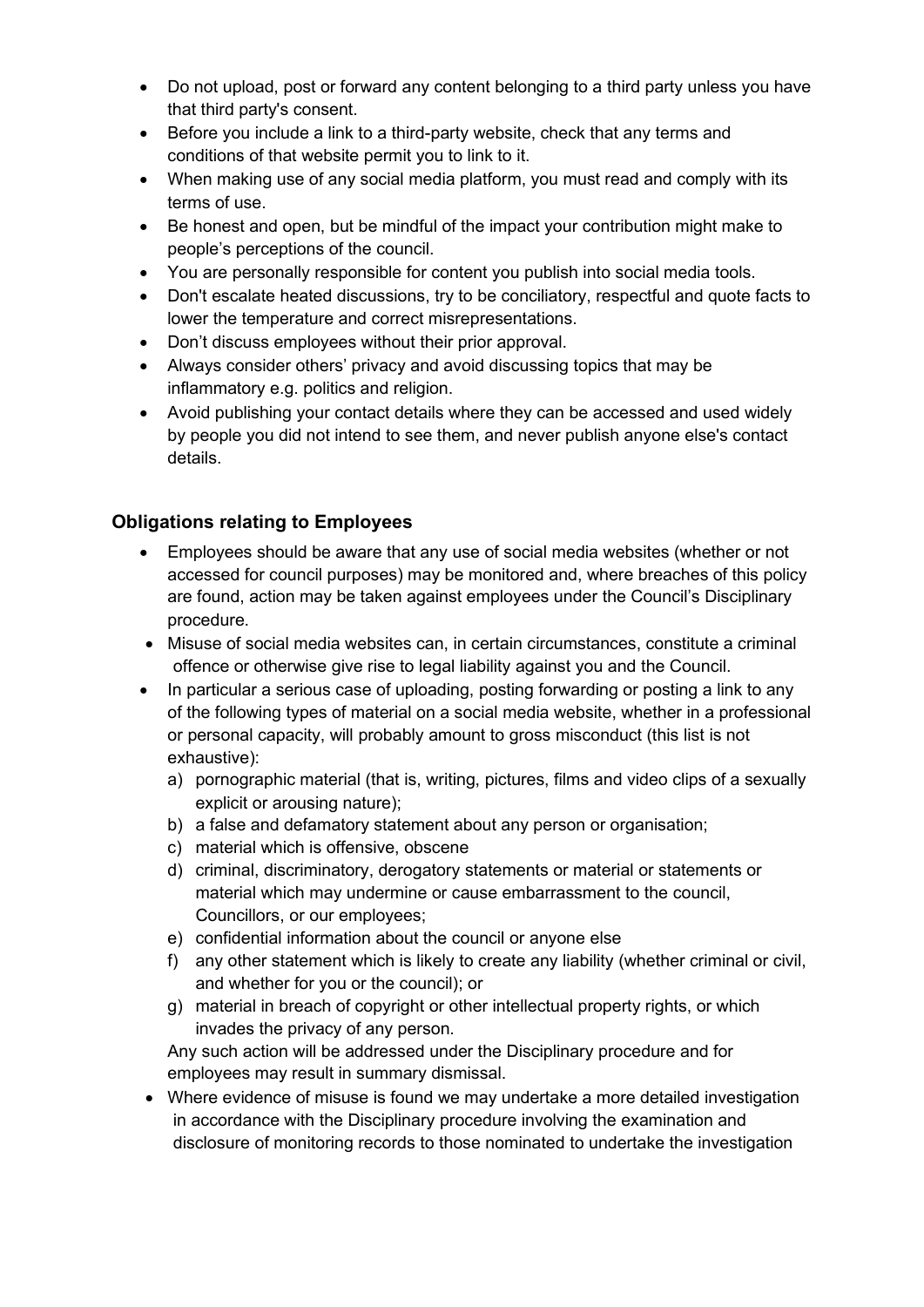- Do not upload, post or forward any content belonging to a third party unless you have that third party's consent.
- Before you include a link to a third-party website, check that any terms and conditions of that website permit you to link to it.
- When making use of any social media platform, you must read and comply with its terms of use.
- Be honest and open, but be mindful of the impact your contribution might make to people's perceptions of the council.
- You are personally responsible for content you publish into social media tools.
- Don't escalate heated discussions, try to be conciliatory, respectful and quote facts to lower the temperature and correct misrepresentations.
- Don't discuss employees without their prior approval.
- Always consider others' privacy and avoid discussing topics that may be inflammatory e.g. politics and religion.
- Avoid publishing your contact details where they can be accessed and used widely by people you did not intend to see them, and never publish anyone else's contact details.

## **Obligations relating to Employees**

- Employees should be aware that any use of social media websites (whether or not accessed for council purposes) may be monitored and, where breaches of this policy are found, action may be taken against employees under the Council's Disciplinary procedure.
- Misuse of social media websites can, in certain circumstances, constitute a criminal offence or otherwise give rise to legal liability against you and the Council.
- In particular a serious case of uploading, posting forwarding or posting a link to any of the following types of material on a social media website, whether in a professional or personal capacity, will probably amount to gross misconduct (this list is not exhaustive):
	- a) pornographic material (that is, writing, pictures, films and video clips of a sexually explicit or arousing nature);
	- b) a false and defamatory statement about any person or organisation;
	- c) material which is offensive, obscene
	- d) criminal, discriminatory, derogatory statements or material or statements or material which may undermine or cause embarrassment to the council, Councillors, or our employees;
	- e) confidential information about the council or anyone else
	- f) any other statement which is likely to create any liability (whether criminal or civil, and whether for you or the council); or
	- g) material in breach of copyright or other intellectual property rights, or which invades the privacy of any person.

Any such action will be addressed under the Disciplinary procedure and for employees may result in summary dismissal.

• Where evidence of misuse is found we may undertake a more detailed investigation in accordance with the Disciplinary procedure involving the examination and disclosure of monitoring records to those nominated to undertake the investigation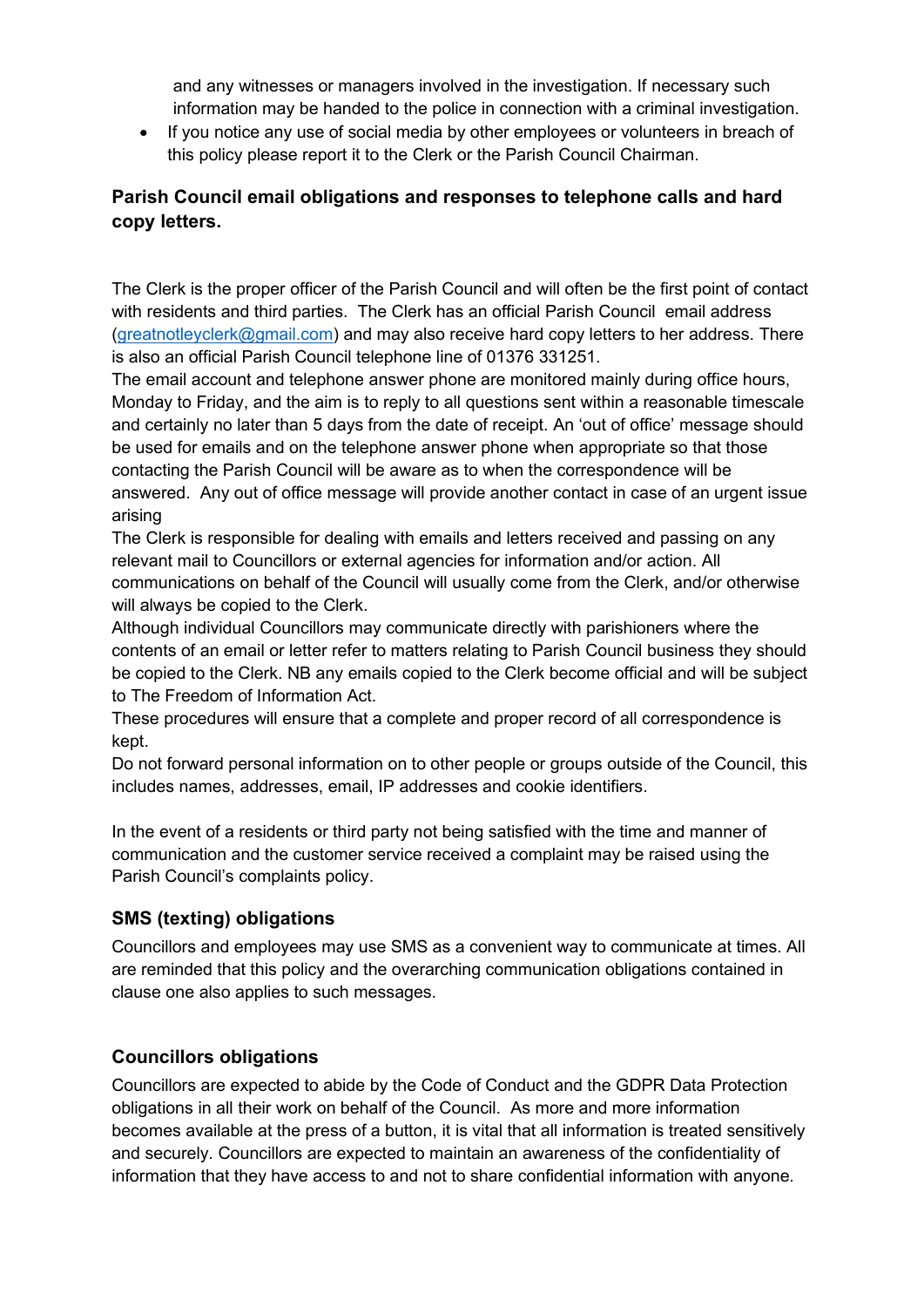and any witnesses or managers involved in the investigation. If necessary such information may be handed to the police in connection with a criminal investigation.

• If you notice any use of social media by other employees or volunteers in breach of this policy please report it to the Clerk or the Parish Council Chairman.

## **Parish Council email obligations and responses to telephone calls and hard copy letters.**

The Clerk is the proper officer of the Parish Council and will often be the first point of contact with residents and third parties. The Clerk has an official Parish Council email address [\(greatnotleyclerk@gmail.com\)](mailto:greatnotleyclerk@gmail.com) and may also receive hard copy letters to her address. There is also an official Parish Council telephone line of 01376 331251.

The email account and telephone answer phone are monitored mainly during office hours, Monday to Friday, and the aim is to reply to all questions sent within a reasonable timescale and certainly no later than 5 days from the date of receipt. An 'out of office' message should be used for emails and on the telephone answer phone when appropriate so that those contacting the Parish Council will be aware as to when the correspondence will be answered. Any out of office message will provide another contact in case of an urgent issue arising

The Clerk is responsible for dealing with emails and letters received and passing on any relevant mail to Councillors or external agencies for information and/or action. All communications on behalf of the Council will usually come from the Clerk, and/or otherwise will always be copied to the Clerk.

Although individual Councillors may communicate directly with parishioners where the contents of an email or letter refer to matters relating to Parish Council business they should be copied to the Clerk. NB any emails copied to the Clerk become official and will be subject to The Freedom of Information Act.

These procedures will ensure that a complete and proper record of all correspondence is kept.

Do not forward personal information on to other people or groups outside of the Council, this includes names, addresses, email, IP addresses and cookie identifiers.

In the event of a residents or third party not being satisfied with the time and manner of communication and the customer service received a complaint may be raised using the Parish Council's complaints policy.

## **SMS (texting) obligations**

Councillors and employees may use SMS as a convenient way to communicate at times. All are reminded that this policy and the overarching communication obligations contained in clause one also applies to such messages.

## **Councillors obligations**

Councillors are expected to abide by the Code of Conduct and the GDPR Data Protection obligations in all their work on behalf of the Council. As more and more information becomes available at the press of a button, it is vital that all information is treated sensitively and securely. Councillors are expected to maintain an awareness of the confidentiality of information that they have access to and not to share confidential information with anyone.